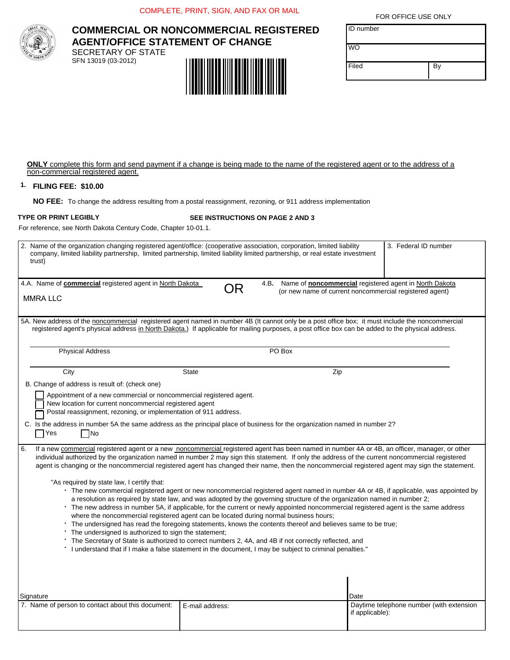COMPLETE, PRINT, SIGN, AND FAX OR MAIL



# **COMMERCIAL OR NONCOMMERCIAL REGISTERED AGENT/OFFICE STATEMENT OF CHANGE** SECRETARY OF STATE SFN 13019 (03-2012)

ID number WO

FOR OFFICE USE ONLY

| Filed |  |
|-------|--|

**ONLY** complete this form and send payment if a change is being made to the name of the registered agent or to the address of a non-commercial registered agent.

## **FILING FEE: \$10.00 1.**

**NO FEE:** To change the address resulting from a postal reassignment, rezoning, or 911 address implementation

# **TYPE OR PRINT LEGIBLY**

#### **SEE INSTRUCTIONS ON PAGE 2 AND 3**

For reference, see North Dakota Century Code, Chapter 10-01.1.

| trust)                                                                                                                                                                                                                                                                                                                                                                                                                                                                                                                                                                                                                                                                                                                                                                                                                                                                                                                                        | 2. Name of the organization changing registered agent/office: (cooperative association, corporation, limited liability<br>company, limited liability partnership, limited partnership, limited liability limited partnership, or real estate investment | 3. Federal ID number                                          |  |  |  |  |  |  |
|-----------------------------------------------------------------------------------------------------------------------------------------------------------------------------------------------------------------------------------------------------------------------------------------------------------------------------------------------------------------------------------------------------------------------------------------------------------------------------------------------------------------------------------------------------------------------------------------------------------------------------------------------------------------------------------------------------------------------------------------------------------------------------------------------------------------------------------------------------------------------------------------------------------------------------------------------|---------------------------------------------------------------------------------------------------------------------------------------------------------------------------------------------------------------------------------------------------------|---------------------------------------------------------------|--|--|--|--|--|--|
| 4.A. Name of <b>commercial</b> registered agent in North Dakota                                                                                                                                                                                                                                                                                                                                                                                                                                                                                                                                                                                                                                                                                                                                                                                                                                                                               | 4.B.<br>OR                                                                                                                                                                                                                                              | Name of <b>noncommercial</b> registered agent in North Dakota |  |  |  |  |  |  |
| (or new name of current noncommercial registered agent)<br><b>MMRA LLC</b>                                                                                                                                                                                                                                                                                                                                                                                                                                                                                                                                                                                                                                                                                                                                                                                                                                                                    |                                                                                                                                                                                                                                                         |                                                               |  |  |  |  |  |  |
|                                                                                                                                                                                                                                                                                                                                                                                                                                                                                                                                                                                                                                                                                                                                                                                                                                                                                                                                               |                                                                                                                                                                                                                                                         |                                                               |  |  |  |  |  |  |
| 5A. New address of the noncommercial registered agent named in number 4B (It cannot only be a post office box; it must include the noncommercial<br>registered agent's physical address in North Dakota.) If applicable for mailing purposes, a post office box can be added to the physical address.                                                                                                                                                                                                                                                                                                                                                                                                                                                                                                                                                                                                                                         |                                                                                                                                                                                                                                                         |                                                               |  |  |  |  |  |  |
| <b>Physical Address</b>                                                                                                                                                                                                                                                                                                                                                                                                                                                                                                                                                                                                                                                                                                                                                                                                                                                                                                                       | PO Box                                                                                                                                                                                                                                                  |                                                               |  |  |  |  |  |  |
| City                                                                                                                                                                                                                                                                                                                                                                                                                                                                                                                                                                                                                                                                                                                                                                                                                                                                                                                                          | <b>State</b><br>Zip                                                                                                                                                                                                                                     |                                                               |  |  |  |  |  |  |
| B. Change of address is result of: (check one)                                                                                                                                                                                                                                                                                                                                                                                                                                                                                                                                                                                                                                                                                                                                                                                                                                                                                                |                                                                                                                                                                                                                                                         |                                                               |  |  |  |  |  |  |
| Appointment of a new commercial or noncommercial registered agent.<br>New location for current noncommercial registered agent<br>Postal reassignment, rezoning, or implementation of 911 address.                                                                                                                                                                                                                                                                                                                                                                                                                                                                                                                                                                                                                                                                                                                                             |                                                                                                                                                                                                                                                         |                                                               |  |  |  |  |  |  |
| C. Is the address in number 5A the same address as the principal place of business for the organization named in number 2?<br>$\Box$ Yes<br> No                                                                                                                                                                                                                                                                                                                                                                                                                                                                                                                                                                                                                                                                                                                                                                                               |                                                                                                                                                                                                                                                         |                                                               |  |  |  |  |  |  |
| l 6.<br>If a new commercial registered agent or a new noncommercial registered agent has been named in number 4A or 4B, an officer, manager, or other<br>individual authorized by the organization named in number 2 may sign this statement. If only the address of the current noncommercial registered<br>agent is changing or the noncommercial registered agent has changed their name, then the noncommercial registered agent may sign the statement.                                                                                                                                                                                                                                                                                                                                                                                                                                                                                  |                                                                                                                                                                                                                                                         |                                                               |  |  |  |  |  |  |
| "As required by state law, I certify that:<br>· The new commercial registered agent or new noncommercial registered agent named in number 4A or 4B, if applicable, was appointed by<br>a resolution as required by state law, and was adopted by the governing structure of the organization named in number 2;<br>* The new address in number 5A, if applicable, for the current or newly appointed noncommercial registered agent is the same address<br>where the noncommercial registered agent can be located during normal business hours;<br>* The undersigned has read the foregoing statements, knows the contents thereof and believes same to be true;<br>The undersigned is authorized to sign the statement;<br>The Secretary of State is authorized to correct numbers 2, 4A, and 4B if not correctly reflected, and<br>I understand that if I make a false statement in the document, I may be subject to criminal penalties." |                                                                                                                                                                                                                                                         |                                                               |  |  |  |  |  |  |
| Signature                                                                                                                                                                                                                                                                                                                                                                                                                                                                                                                                                                                                                                                                                                                                                                                                                                                                                                                                     |                                                                                                                                                                                                                                                         | Date                                                          |  |  |  |  |  |  |
| 7. Name of person to contact about this document:                                                                                                                                                                                                                                                                                                                                                                                                                                                                                                                                                                                                                                                                                                                                                                                                                                                                                             | E-mail address:                                                                                                                                                                                                                                         | Daytime telephone number (with extension<br>if applicable):   |  |  |  |  |  |  |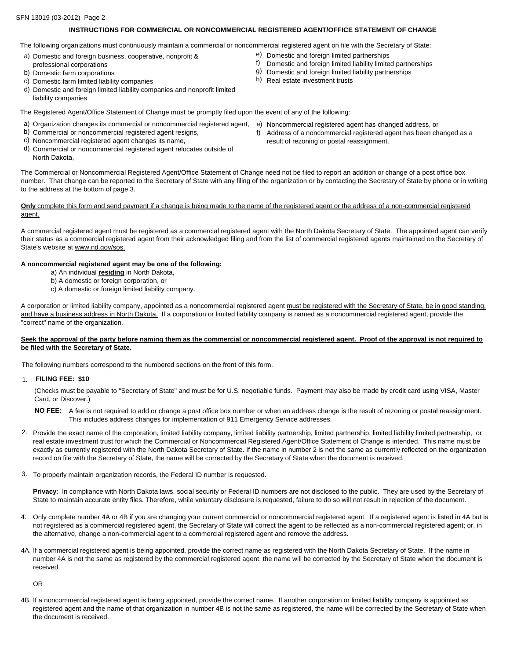#### SFN 13019 (03-2012) Page 2

## **INSTRUCTIONS FOR COMMERCIAL OR NONCOMMERCIAL REGISTERED AGENT/OFFICE STATEMENT OF CHANGE**

The following organizations must continuously maintain a commercial or noncommercial registered agent on file with the Secretary of State:

- a) Domestic and foreign business, cooperative, nonprofit & professional corporations
- b) Domestic farm corporations
- c) Domestic farm limited liability companies
- d) Domestic and foreign limited liability companies and nonprofit limited liability companies
- The Registered Agent/Office Statement of Change must be promptly filed upon the event of any of the following:
- a) Organization changes its commercial or noncommercial registered agent, e) Noncommercial registered agent has changed address, or
- b) Commercial or noncommercial registered agent resigns,
- c) Noncommercial registered agent changes its name,
- d) Commercial or noncommercial registered agent relocates outside of North Dakota,
- 
- f) Address of a noncommercial registered agent has been changed as a result of rezoning or postal reassignment.

The Commercial or Noncommercial Registered Agent/Office Statement of Change need not be filed to report an addition or change of a post office box number. That change can be reported to the Secretary of State with any filing of the organization or by contacting the Secretary of State by phone or in writing to the address at the bottom of page 3.

## **Only** complete this form and send payment if a change is being made to the name of the registered agent or the address of a non-commercial registered agent.

A commercial registered agent must be registered as a commercial registered agent with the North Dakota Secretary of State. The appointed agent can verify their status as a commercial registered agent from their acknowledged filing and from the list of commercial registered agents maintained on the Secretary of State's website at www.nd.gov/sos.

#### **A noncommercial registered agent may be one of the following:**

- a) An individual **residing** in North Dakota,
- b) A domestic or foreign corporation, or
- c) A domestic or foreign limited liability company.

A corporation or limited liability company, appointed as a noncommercial registered agent must be registered with the Secretary of State, be in good standing, and have a business address in North Dakota. If a corporation or limited liability company is named as a noncommercial registered agent, provide the "correct" name of the organization.

## Seek the approval of the party before naming them as the commercial or noncommercial registered agent. Proof of the approval is not required to **be filed with the Secretary of State.**

The following numbers correspond to the numbered sections on the front of this form.

## 1. **FILING FEE: \$10**

(Checks must be payable to "Secretary of State" and must be for U.S. negotiable funds. Payment may also be made by credit card using VISA, Master Card, or Discover.)

- **NO FEE:** A fee is not required to add or change a post office box number or when an address change is the result of rezoning or postal reassignment. This includes address changes for implementation of 911 Emergency Service addresses.
- 2. Provide the exact name of the corporation, limited liability company, limited liability partnership, limited partnership, limited liability limited partnership, or real estate investment trust for which the Commercial or Noncommercial Registered Agent/Office Statement of Change is intended. This name must be exactly as currently registered with the North Dakota Secretary of State. If the name in number 2 is not the same as currently reflected on the organization record on file with the Secretary of State, the name will be corrected by the Secretary of State when the document is received.
- To properly maintain organization records, the Federal ID number is requested. 3.

**Privacy**: In compliance with North Dakota laws, social security or Federal ID numbers are not disclosed to the public. They are used by the Secretary of State to maintain accurate entity files. Therefore, while voluntary disclosure is requested, failure to do so will not result in rejection of the document.

- 4. Only complete number 4A or 4B if you are changing your current commercial or noncommercial registered agent. If a registered agent is listed in 4A but is not registered as a commercial registered agent, the Secretary of State will correct the agent to be reflected as a non-commercial registered agent; or, in the alternative, change a non-commercial agent to a commercial registered agent and remove the address.
- 4A. If a commercial registered agent is being appointed, provide the correct name as registered with the North Dakota Secretary of State. If the name in number 4A is not the same as registered by the commercial registered agent, the name will be corrected by the Secretary of State when the document is received.

OR

4B. If a noncommercial registered agent is being appointed, provide the correct name. If another corporation or limited liability company is appointed as registered agent and the name of that organization in number 4B is not the same as registered, the name will be corrected by the Secretary of State when the document is received.

- e) Domestic and foreign limited partnerships
- f) Domestic and foreign limited liability limited partnerships
- g) Domestic and foreign limited liability partnerships
- h) Real estate investment trusts